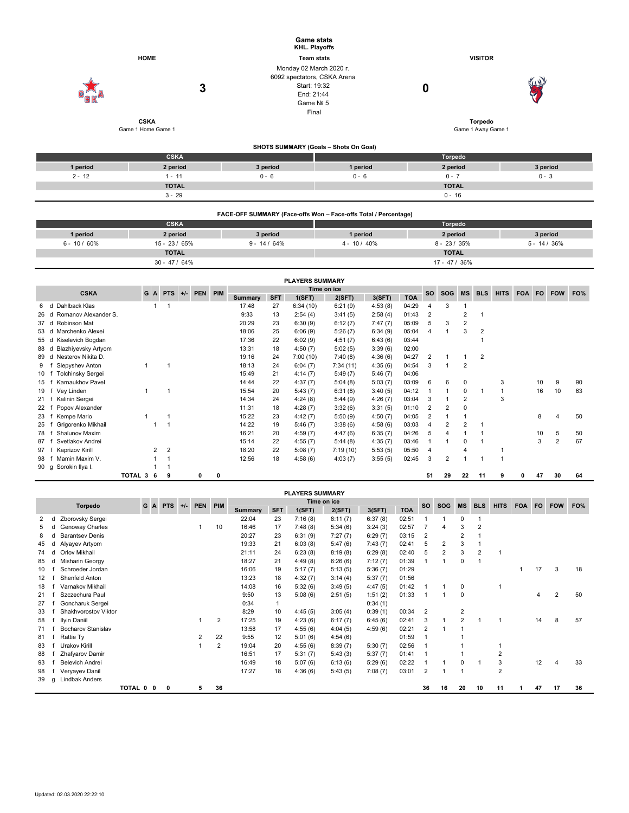|            | <b>HOME</b>                       | <b>Game stats</b><br>KHL. Playoffs<br><b>Team stats</b>                                                    |                                       | <b>VISITOR</b>                |                 |
|------------|-----------------------------------|------------------------------------------------------------------------------------------------------------|---------------------------------------|-------------------------------|-----------------|
| g          | 3                                 | Monday 02 March 2020 r.<br>6092 spectators, CSKA Arena<br>Start: 19:32<br>End: 21:44<br>Game Nº 5<br>Final |                                       | 0                             | 67              |
|            | <b>CSKA</b><br>Game 1 Home Game 1 |                                                                                                            |                                       | Torpedo<br>Game 1 Away Game 1 |                 |
|            |                                   |                                                                                                            | SHOTS SUMMARY (Goals - Shots On Goal) |                               |                 |
|            | <b>CSKA</b>                       |                                                                                                            |                                       | Torpedo                       |                 |
| 1 period   | 2 period                          | 3 period                                                                                                   | 1 period                              | 2 period                      | 3 period        |
| $2 - 12$   | $1 - 11$                          | $0 - 6$                                                                                                    | $0 - 6$                               | $0 - 7$                       | $0 - 3$         |
|            | <b>TOTAL</b>                      |                                                                                                            |                                       | <b>TOTAL</b>                  |                 |
|            | $3 - 29$                          |                                                                                                            |                                       | $0 - 16$                      |                 |
|            |                                   | FACE-OFF SUMMARY (Face-offs Won - Face-offs Total / Percentage)                                            |                                       |                               |                 |
|            | <b>CSKA</b>                       |                                                                                                            |                                       | Torpedo                       |                 |
| A month of | <b>Contact</b>                    | new stand                                                                                                  | A month of                            | no a antarat                  | <b>Constant</b> |

| 1 period      | 2 period      | 3 period       | 1 period        | 2 period       | 3 period        |
|---------------|---------------|----------------|-----------------|----------------|-----------------|
| $6 - 10/60\%$ | 15 - 23 / 65% | $9 - 14 / 64%$ | $4 - 10 / 40\%$ | $8 - 23 / 35%$ | $5 - 14 / 36\%$ |
|               | <b>TOTAL</b>  |                |                 | <b>TOTAL</b>   |                 |
|               | 30 - 47 / 64% |                |                 | 17 - 47 / 36%  |                 |

|                                 |         |                |                |       |         |   |                |            | <b>PLAYERS SUMMARY</b> |           |            |             |            |                |                |                |   |   |    |                |    |
|---------------------------------|---------|----------------|----------------|-------|---------|---|----------------|------------|------------------------|-----------|------------|-------------|------------|----------------|----------------|----------------|---|---|----|----------------|----|
| <b>CSKA</b>                     |         | G A            | <b>PTS</b>     | $+/-$ | PEN PIM |   |                | <b>SO</b>  | <b>SOG</b>             | <b>MS</b> | <b>BLS</b> | <b>HITS</b> | <b>FOA</b> | <b>FO</b>      | <b>FOW</b>     | FO%            |   |   |    |                |    |
|                                 |         |                |                |       |         |   | <b>Summary</b> | <b>SFT</b> | 1(SFT)                 | 2(SFT)    | 3(SFT)     | <b>TOA</b>  |            |                |                |                |   |   |    |                |    |
| Dahlback Klas<br>6<br>d         |         |                |                |       |         |   | 17:48          | 27         | 6:34(10)               | 6:21(9)   | 4:53(8)    | 04:29       | 4          | 3              |                |                |   |   |    |                |    |
| Romanov Alexander S.<br>26<br>d |         |                |                |       |         |   | 9:33           | 13         | 2:54(4)                | 3:41(5)   | 2:58(4)    | 01:43       | 2          |                | 2              |                |   |   |    |                |    |
| Robinson Mat<br>37<br>d         |         |                |                |       |         |   | 20:29          | 23         | 6:30(9)                | 6:12(7)   | 7:47(7)    | 05:09       | 5          | 3              | 2              |                |   |   |    |                |    |
| Marchenko Alexei<br>53 d        |         |                |                |       |         |   | 18:06          | 25         | 6:06(9)                | 5:26(7)   | 6:34(9)    | 05:04       | 4          |                | 3              | $\overline{2}$ |   |   |    |                |    |
| Kiselevich Bogdan<br>55 d       |         |                |                |       |         |   | 17:36          | 22         | 6:02(9)                | 4:51(7)   | 6:43(6)    | 03:44       |            |                |                |                |   |   |    |                |    |
| Blazhiyevsky Artyom<br>88<br>d  |         |                |                |       |         |   | 13:31          | 18         | 4:50(7)                | 5:02(5)   | 3:39(6)    | 02:00       |            |                |                |                |   |   |    |                |    |
| Nesterov Nikita D.<br>89 d      |         |                |                |       |         |   | 19:16          | 24         | 7:00(10)               | 7:40(8)   | 4:36(6)    | 04:27       | 2          |                |                | 2              |   |   |    |                |    |
| Slepyshev Anton<br>9            |         |                |                |       |         |   | 18:13          | 24         | 6:04(7)                | 7:34(11)  | 4:35(6)    | 04:54       | 3          |                | 2              |                |   |   |    |                |    |
| <b>Tolchinsky Sergei</b><br>10  |         |                |                |       |         |   | 15:49          | 21         | 4:14(7)                | 5:49(7)   | 5:46(7)    | 04:06       |            |                |                |                |   |   |    |                |    |
| Karnaukhov Pavel<br>15          |         |                |                |       |         |   | 14:44          | 22         | 4:37(7)                | 5:04(8)   | 5:03(7)    | 03:09       | 6          | 6              | 0              |                | 3 |   | 10 | 9              | 90 |
| Vey Linden<br>19                |         |                |                |       |         |   | 15:54          | 20         | 5:43(7)                | 6:31(8)   | 3:40(5)    | 04:12       |            |                | 0              |                |   |   | 16 | 10             | 63 |
| Kalinin Sergei<br>21            |         |                |                |       |         |   | 14:34          | 24         | 4:24(8)                | 5:44(9)   | 4:26(7)    | 03:04       | 3          |                | $\overline{2}$ |                | 3 |   |    |                |    |
| Popov Alexander<br>22           |         |                |                |       |         |   | 11:31          | 18         | 4:28(7)                | 3:32(6)   | 3:31(5)    | 01:10       | 2          | $\overline{2}$ | 0              |                |   |   |    |                |    |
| Kempe Mario<br>23               |         |                |                |       |         |   | 15:22          | 23         | 4:42(7)                | 5:50(9)   | 4:50(7)    | 04:05       | 2          |                |                |                |   |   | 8  |                | 50 |
| Grigorenko Mikhail<br>25        |         |                |                |       |         |   | 14:22          | 19         | 5:46(7)                | 3:38(6)   | 4:58(6)    | 03:03       | 4          | $\overline{2}$ | $\overline{2}$ |                |   |   |    |                |    |
| Shalunov Maxim<br>78            |         |                |                |       |         |   | 16:21          | 20         | 4:59(7)                | 4:47(6)   | 6:35(7)    | 04:26       | 5          | 4              |                |                |   |   | 10 | 5              | 50 |
| Svetlakov Andrei<br>87          |         |                |                |       |         |   | 15:14          | 22         | 4:55(7)                | 5:44(8)   | 4:35(7)    | 03:46       |            |                | 0              |                |   |   | 3  | $\overline{2}$ | 67 |
| Kaprizov Kirill<br>97           |         | $\overline{2}$ | $\overline{2}$ |       |         |   | 18:20          | 22         | 5:08(7)                | 7:19(10)  | 5:53(5)    | 05:50       | 4          |                |                |                |   |   |    |                |    |
| Mamin Maxim V.<br>98            |         |                |                |       |         |   | 12:56          | 18         | 4:58(6)                | 4:03(7)   | 3:55(5)    | 02:45       | 3          | 2              |                |                |   |   |    |                |    |
| Sorokin Ilya I.<br>90 g         |         |                |                |       |         |   |                |            |                        |           |            |             |            |                |                |                |   |   |    |                |    |
|                                 | TOTAL 3 | 6              | 9              |       | 0       | 0 |                |            |                        |           |            |             | 51         | 29             | 22             | 11             | 9 | 0 | 47 | 30             | 64 |

|    | <b>PLAYERS SUMMARY</b>                                                               |                           |           |  |   |  |   |                |         |              |           |            |           |            |                |            |                |                |                |  |    |    |    |
|----|--------------------------------------------------------------------------------------|---------------------------|-----------|--|---|--|---|----------------|---------|--------------|-----------|------------|-----------|------------|----------------|------------|----------------|----------------|----------------|--|----|----|----|
|    | Time on ice<br>PEN PIM<br><b>Torpedo</b><br>G<br><b>PTS</b><br>$+/-$<br>$\mathbf{A}$ |                           |           |  |   |  |   |                |         |              | <b>SO</b> | <b>SOG</b> | <b>MS</b> | <b>BLS</b> | <b>HITS</b>    | <b>FOA</b> | <b>FO</b>      | <b>FOW</b>     | FO%            |  |    |    |    |
|    |                                                                                      |                           |           |  |   |  |   |                | Summary | <b>SFT</b>   | 1(SFT)    | 2(SFT)     | 3(SFT)    | <b>TOA</b> |                |            |                |                |                |  |    |    |    |
| 2  |                                                                                      | Zborovsky Sergei          |           |  |   |  |   |                | 22:04   | 23           | 7:16(8)   | 8:11(7)    | 6:37(8)   | 02:51      |                |            | 0              |                |                |  |    |    |    |
|    |                                                                                      | Genoway Charles           |           |  |   |  |   | 10             | 16:46   | 17           | 7:48(8)   | 5:34(6)    | 3:24(3)   | 02:57      |                | 4          | 3              | $\overline{2}$ |                |  |    |    |    |
| 8  |                                                                                      | <b>Barantsey Denis</b>    |           |  |   |  |   |                | 20:27   | 23           | 6:31(9)   | 7:27(7)    | 6:29(7)   | 03:15      | $\overline{2}$ |            | $\overline{2}$ |                |                |  |    |    |    |
| 45 |                                                                                      | Alyayev Artyom            |           |  |   |  |   |                | 19:33   | 21           | 6:03(8)   | 5:47(6)    | 7:43(7)   | 02:41      | 5              | 2          | 3              |                |                |  |    |    |    |
| 74 |                                                                                      | Orlov Mikhail             |           |  |   |  |   |                | 21:11   | 24           | 6:23(8)   | 8:19(8)    | 6:29(8)   | 02:40      | 5              | 2          | 3              | $\overline{2}$ |                |  |    |    |    |
| 85 | d                                                                                    | Misharin Georgy           |           |  |   |  |   |                | 18:27   | 21           | 4:49(8)   | 6:26(6)    | 7:12(7)   | 01:39      |                |            | 0              |                |                |  |    |    |    |
| 10 |                                                                                      | Schroeder Jordan          |           |  |   |  |   |                | 16:06   | 19           | 5:17(7)   | 5:13(5)    | 5:36(7)   | 01:29      |                |            |                |                |                |  | 17 | 3  | 18 |
| 12 |                                                                                      | Shenfeld Anton            |           |  |   |  |   |                | 13:23   | 18           | 4:32(7)   | 3:14(4)    | 5:37(7)   | 01:56      |                |            |                |                |                |  |    |    |    |
| 18 |                                                                                      | Varnakov Mikhail          |           |  |   |  |   |                | 14:08   | 16           | 5:32(6)   | 3:49(5)    | 4:47(5)   | 01:42      |                |            | $\Omega$       |                |                |  |    |    |    |
| 21 |                                                                                      | Szczechura Paul           |           |  |   |  |   |                | 9:50    | 13           | 5:08(6)   | 2:51(5)    | 1:51(2)   | 01:33      |                |            | $\mathbf 0$    |                |                |  | 4  | 2  | 50 |
| 27 |                                                                                      | Goncharuk Sergei          |           |  |   |  |   |                | 0:34    | $\mathbf{1}$ |           |            | 0:34(1)   |            |                |            |                |                |                |  |    |    |    |
| 33 |                                                                                      | Shakhvorostov Viktor      |           |  |   |  |   |                | 8:29    | 10           | 4:45(5)   | 3:05(4)    | 0:39(1)   | 00:34      | $\overline{2}$ |            | 2              |                |                |  |    |    |    |
| 58 |                                                                                      | Ilyin Daniil              |           |  |   |  |   | 2              | 17:25   | 19           | 4:23(6)   | 6:17(7)    | 6:45(6)   | 02:41      | 3              |            | $\overline{2}$ |                |                |  | 14 | 8  | 57 |
| 71 |                                                                                      | <b>Bocharov Stanislav</b> |           |  |   |  |   |                | 13:58   | 17           | 4:55(6)   | 4:04(5)    | 4:59(6)   | 02:21      | $\overline{2}$ |            |                |                |                |  |    |    |    |
| 81 |                                                                                      | Rattie Ty                 |           |  |   |  | 2 | 22             | 9:55    | 12           | 5:01(6)   | 4:54(6)    |           | 01:59      |                |            |                |                |                |  |    |    |    |
| 83 |                                                                                      | Urakov Kirill             |           |  |   |  |   | $\overline{2}$ | 19:04   | 20           | 4:55(6)   | 8:39(7)    | 5:30(7)   | 02:56      |                |            |                |                |                |  |    |    |    |
| 88 |                                                                                      | Zhafyarov Damir           |           |  |   |  |   |                | 16:51   | 17           | 5:31(7)   | 5:43(3)    | 5:37(7)   | 01:41      |                |            |                |                | $\overline{2}$ |  |    |    |    |
| 93 |                                                                                      | <b>Belevich Andrei</b>    |           |  |   |  |   |                | 16:49   | 18           | 5:07(6)   | 6:13(6)    | 5:29(6)   | 02:22      |                |            | $\Omega$       |                | 3              |  | 12 | 4  | 33 |
| 98 |                                                                                      | Veryayev Danil            |           |  |   |  |   |                | 17:27   | 18           | 4:36(6)   | 5:43(5)    | 7:08(7)   | 03:01      | $\overline{2}$ |            |                |                | $\overline{2}$ |  |    |    |    |
| 39 | q                                                                                    | Lindbak Anders            |           |  |   |  |   |                |         |              |           |            |           |            |                |            |                |                |                |  |    |    |    |
|    |                                                                                      |                           | TOTAL 0 0 |  | 0 |  | 5 | 36             |         |              |           |            |           |            | 36             | 16         | 20             | 10             | 11             |  | 47 | 17 | 36 |